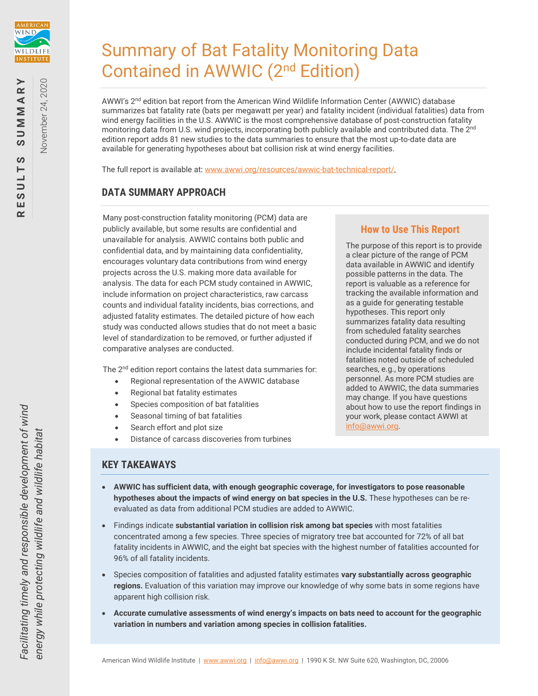

November 24, 2020

Vovember 24, 2020

# Summary of Bat Fatality Monitoring Data Contained in AWWIC (2nd Edition)

AWWI's 2<sup>nd</sup> edition bat report from the American Wind Wildlife Information Center (AWWIC) database summarizes bat fatality rate (bats per megawatt per year) and fatality incident (individual fatalities) data from wind energy facilities in the U.S. AWWIC is the most comprehensive database of post-construction fatality monitoring data from U.S. wind projects, incorporating both publicly available and contributed data. The 2<sup>nd</sup> edition report adds 81 new studies to the data summaries to ensure that the most up-to-date data are available for generating hypotheses about bat collision risk at wind energy facilities.

The full report is available at: [www.awwi.org/resources/awwic-bat-technical-report/](https://awwi.org/resources/awwic-bat-technical-report/).

# **DATA SUMMARY APPROACH**

Many post-construction fatality monitoring (PCM) data are publicly available, but some results are confidential and unavailable for analysis. AWWIC contains both public and confidential data, and by maintaining data confidentiality, encourages voluntary data contributions from wind energy projects across the U.S. making more data available for analysis. The data for each PCM study contained in AWWIC, include information on project characteristics, raw carcass counts and individual fatality incidents, bias corrections, and adjusted fatality estimates. The detailed picture of how each study was conducted allows studies that do not meet a basic level of standardization to be removed, or further adjusted if comparative analyses are conducted.

The 2<sup>nd</sup> edition report contains the latest data summaries for:

- Regional representation of the AWWIC database
- Regional bat fatality estimates
- Species composition of bat fatalities
- Seasonal timing of bat fatalities
- Search effort and plot size
- Distance of carcass discoveries from turbines

#### **How to Use This Report**

The purpose of this report is to provide a clear picture of the range of PCM data available in AWWIC and identify possible patterns in the data. The report is valuable as a reference for tracking the available information and as a guide for generating testable hypotheses. This report only summarizes fatality data resulting from scheduled fatality searches conducted during PCM, and we do not include incidental fatality finds or fatalities noted outside of scheduled searches, e.g., by operations personnel. As more PCM studies are added to AWWIC, the data summaries may change. If you have questions about how to use the report findings in your work, please contact AWWI at [info@awwi.org.](mailto:info@awwi.org) 

# **KEY TAKEAWAYS**

- **AWWIC has sufficient data, with enough geographic coverage, for investigators to pose reasonable hypotheses about the impacts of wind energy on bat species in the U.S.** These hypotheses can be reevaluated as data from additional PCM studies are added to AWWIC.
- Findings indicate **substantial variation in collision risk among bat species** with most fatalities concentrated among a few species. Three species of migratory tree bat accounted for 72% of all bat fatality incidents in AWWIC, and the eight bat species with the highest number of fatalities accounted for 96% of all fatality incidents.
- Species composition of fatalities and adjusted fatality estimates **vary substantially across geographic regions.** Evaluation of this variation may improve our knowledge of why some bats in some regions have apparent high collision risk.
- **Accurate cumulative assessments of wind energy's impacts on bats need to account for the geographic variation in numbers and variation among species in collision fatalities.**